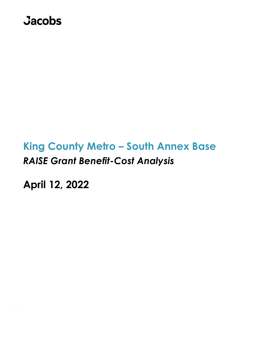## **Jacobs**

# **King County Metro – South Annex Base** *RAISE Grant Benefit-Cost Analysis*

**April 12, 2022**

*`*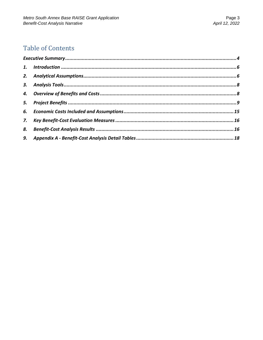## **Table of Contents**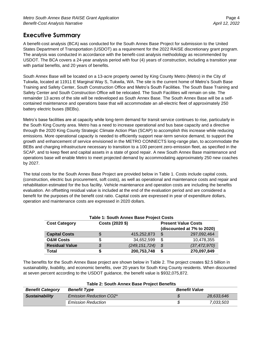## <span id="page-3-0"></span>**Executive Summary**

A benefit-cost analysis (BCA) was conducted for the South Annex Base Project for submission to the United States Department of Transportation (USDOT) as a requirement for the 2022 RAISE discretionary grant program. The analysis was conducted in accordance with the benefit-cost analysis methodology as recommended by USDOT. The BCA covers a 24-year analysis period with four (4) years of construction, including a transition year with partial benefits, and 20 years of benefits.

South Annex Base will be located on a 13-acre property owned by King County Metro (Metro) in the City of Tukwila, located at 11911 E Marginal Way S, Tukwila, WA. The site is the current home of Metro's South Base Training and Safety Center, South Construction Office and Metro's South Facilities. The South Base Training and Safety Center and South Construction Office will be relocated. The South Facilities will remain on site. The remainder 13 acres of the site will be redeveloped as South Annex Base. The South Annex Base will be a selfcontained maintenance and operations base that will accommodate an all-electric fleet of approximately 250 battery electric buses (BEBs).

Metro's base facilities are at capacity while long-term demand for transit service continues to rise, particularly in the South King County area. Metro has a need to increase operational and bus base capacity and a directive through the 2020 King County Strategic Climate Action Plan (SCAP) to accomplish this increase while reducing emissions. More operational capacity is needed to efficiently support near-term service demand, to support the growth and enhancement of service envisioned in the METRO CONNECTS long-range plan, to accommodate the BEBs and charging infrastructure necessary to transition to a 100 percent zero-emission fleet, as specified in the SCAP, and to keep fleet and capital assets in a state of good repair. A new South Annex Base maintenance and operations base will enable Metro to meet projected demand by accommodating approximately 250 new coaches by 2027.

The total costs for the South Annex Base Project are provided below in Table 1. Costs include capital costs, (construction, electric bus procurement, soft costs), as well as operational and maintenance costs and repair and rehabilitation estimated for the bus facility. Vehicle maintenance and operation costs are including the benefits evaluation. An offsetting residual value is included at the end of the evaluation period and are considered a benefit for the purposes of the benefit cost ratio. Capital costs are expressed in year of expenditure dollars, operation and maintenance costs are expressed in 2020 dollars.

| <b>Table 1: South Annex Base Project Costs</b> |  |                 |                            |                            |  |
|------------------------------------------------|--|-----------------|----------------------------|----------------------------|--|
| <b>Cost Category</b>                           |  | Costs (2020 \$) |                            | <b>Present Value Costs</b> |  |
|                                                |  |                 |                            | (discounted at 7% to 2020) |  |
| <b>Capital Costs</b>                           |  | 415,252,873     | -\$                        | 297,092,464                |  |
| <b>O&amp;M Costs</b>                           |  | 34,652,599      | \$                         | 10,478,355                 |  |
| <b>Residual Value</b>                          |  | (249, 151, 724) | $\boldsymbol{\mathcal{S}}$ | (37, 472, 970)             |  |
| Total                                          |  | 200,753,748     | S                          | 270,097,849                |  |

# The benefits for the South Annex Base project are shown below in Table 2. The project creates \$2.5 billion in

sustainability, livability, and economic benefits, over 20 years for South King County residents. When discounted at seven percent according to the USDOT guidance, the benefit value is \$932,075,872.

| <b>Benefit Category</b> | <b>Benefit Type</b>            | <b>Benefit Value</b> |            |
|-------------------------|--------------------------------|----------------------|------------|
| <b>Sustainability</b>   | <b>Emission Reduction CO2*</b> |                      | 28,633,646 |
|                         | <b>Emission Reduction</b>      |                      | 7.033.503  |

#### **Table 2: South Annex Base Project Benefits**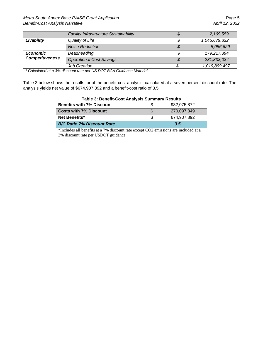*Metro South Annex Base RAISE Grant Application* **Page 5 Page 5** *Benefit-Cost Analysis Narrative April 12, 2022*

|                        | Facility Infrastructure Sustainability | S  | 2,169,559     |
|------------------------|----------------------------------------|----|---------------|
| Livability             | Quality of Life                        | \$ | 1,045,679,822 |
|                        | <b>Noise Reduction</b>                 | S  | 5,056,629     |
| <b>Economic</b>        | Deadheading                            | \$ | 179.217.394   |
| <b>Competitiveness</b> | <b>Operational Cost Savings</b>        | \$ | 231,833,034   |
|                        | <b>Job Creation</b>                    |    | 1,019,899,497 |

*\* Calculated at a 3% discount rate per US DOT BCA Guidance Materials*

Table 3 below shows the results for of the benefit-cost analysis, calculated at a seven percent discount rate. The analysis yields net value of \$674,907,892 and a benefit-cost ratio of 3.5.

| Table 5. Bellettle COSt Attalysis Suffitually Results |  |             |  |
|-------------------------------------------------------|--|-------------|--|
| <b>Benefits with 7% Discount</b>                      |  | 932.075.872 |  |
| <b>Costs with 7% Discount</b>                         |  | 270.097.849 |  |
| <b>Net Benefits*</b>                                  |  | 674.907.892 |  |
| <b>B/C Ratio 7% Discount Rate</b>                     |  | 3.5         |  |

#### **Table 3: Benefit-Cost Analysis Summary Results**

\*Includes all benefits at a 7% discount rate except CO2 emissions are included at a 3% discount rate per USDOT guidance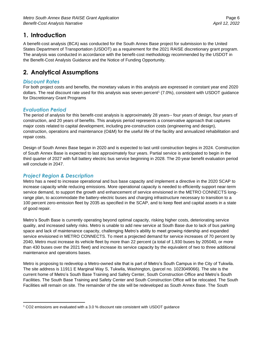## <span id="page-5-0"></span>**1. Introduction**

A benefit-cost analysis (BCA) was conducted for the South Annex Base project for submission to the United States Department of Transportation (USDOT) as a requirement for the 2021 RAISE discretionary grant program. The analysis was conducted in accordance with the benefit-cost methodology recommended by the USDOT in the Benefit-Cost Analysis Guidance and the Notice of Funding Opportunity.

## <span id="page-5-1"></span>**2. Analytical Assumptions**

#### *Discount Rates*

For both project costs and benefits, the monetary values in this analysis are expressed in constant year end 2020 dollars. The real discount rate used for this analysis was seven percent<sup>1</sup> (7.0%), consistent with USDOT guidance for Discretionary Grant Programs

#### *Evaluation Period*

The period of analysis for this benefit-cost analysis is approximately 28 years-- four years of design, four years of construction, and 20 years of benefits. This analysis period represents a conservative approach that captures major costs related to capital development, including pre-construction costs (engineering and design), construction, operations and maintenance (O&M) for the useful life of the facility and annualized rehabilitation and repair costs.

Design of South Annex Base began in 2020 and is expected to last until construction begins in 2024. Construction of South Annex Base is expected to last approximately four years. Partial service is anticipated to begin in the third quarter of 2027 with full battery electric bus service beginning in 2028. The 20-year benefit evaluation period will conclude in 2047.

#### *Project Region & Description*

Metro has a need to increase operational and bus base capacity and implement a directive in the 2020 SCAP to increase capacity while reducing emissions. More operational capacity is needed to efficiently support near-term service demand, to support the growth and enhancement of service envisioned in the METRO CONNECTS longrange plan, to accommodate the battery-electric buses and charging infrastructure necessary to transition to a 100 percent zero-emission fleet by 2035 as specified in the SCAP, and to keep fleet and capital assets in a state of good repair.

Metro's South Base is currently operating beyond optimal capacity, risking higher costs, deteriorating service quality, and increased safety risks. Metro is unable to add new service at South Base due to lack of bus parking space and lack of maintenance capacity, challenging Metro's ability to meet growing ridership and expanded service envisioned in METRO CONNECTS. To meet a projected demand for service increases of 70 percent by 2040, Metro must increase its vehicle fleet by more than 22 percent (a total of 1,930 buses by 205040, or more than 430 buses over the 2021 fleet) and increase its service capacity by the equivalent of two to three additional maintenance and operations bases.

Metro is proposing to redevelop a Metro-owned site that is part of Metro's South Campus in the City of Tukwila. The site address is 11911 E Marginal Way S, Tukwila, Washington, (parcel no. 1023049066). The site is the current home of Metro's South Base Training and Safety Center, South Construction Office and Metro's South Facilities. The South Base Training and Safety Center and South Construction Office will be relocated. The South Facilities will remain on site. The remainder of the site will be redeveloped as South Annex Base. The South

<sup>1</sup> CO2 emissions are evaluated with a 3.0 % discount rate consistent with USDOT guidance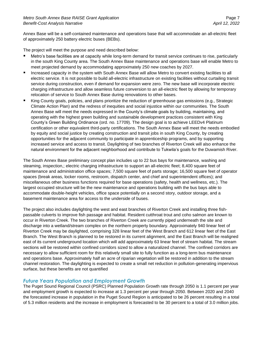Annex Base will be a self-contained maintenance and operations base that will accommodate an all-electric fleet of approximately 250 battery electric buses (BEBs).

The project will meet the purpose and need described below:

- Metro's base facilities are at capacity while long-term demand for transit service continues to rise, particularly in the south King County area. The South Annex Base maintenance and operations base will enable Metro to meet projected demand by accommodating approximately 250 new coaches by 2027.
- Increased capacity in the system with South Annex Base will allow Metro to convert existing facilities to all electric service. It is not possible to build all-electric infrastructure on existing facilities without curtailing transit service during construction, even if demand for expansion were zero. The new base will incorporate electric charging infrastructure and allow seamless future conversion to an all-electric fleet by allowing for temporary relocation of service to South Annex Base during renovations to other bases.
- King County goals, policies, and plans prioritize the reduction of greenhouse gas emissions (e.g., Strategic Climate Action Plan) and the redress of inequities and social injustice within our communities. The South Annex Base will meet the needs expressed in the County's climate goals by building, maintaining, and operating with the highest green building and sustainable development practices consistent with King County's Green Building Ordinance (ord. no. 17709). The design goal is to achieve LEEDv4 Platinum certification or other equivalent third-party certifications. The South Annex Base will meet the needs embodied by equity and social justice by creating construction and transit jobs in south King County, by creating opportunities for the adjacent community to participate in apprenticeship programs, and by supporting increased service and access to transit. Daylighting of two branches of Riverton Creek will also enhance the natural environment for the adjacent neighborhood and contribute to Tukwila's goals for the Duwamish River.

The South Annex Base preliminary concept plan includes up to 22 bus bays for maintenance, washing and steaming, inspection,; electric charging infrastructure to support an all-electric fleet; 8,400 square feet of maintenance and administration office spaces; 7,500 square feet of parts storage; 16,500 square feet of operator spaces (break areas, locker rooms, restroom, dispatch center, and chief and superintendent offices); and miscellaneous other business functions required for base operations (safety, health and wellness, etc.). The largest occupied structure will be the new maintenance and operations building with the bus bays able to accommodate double-height vehicles, office space potentially on a second story, outdoor storage, and a basement maintenance area for access to the underside of buses.

The project also includes daylighting the west and east branches of Riverton Creek and installing three fishpassable culverts to improve fish passage and habitat. Resident cutthroat trout and coho salmon are known to occur in Riverton Creek. The two branches of Riverton Creek are currently piped underneath the site and discharge into a wetland/stream complex on the northern property boundary. Approximately 940 linear feet of Riverton Creek may be daylighted, comprising 328 linear feet of the West Branch and 612 linear feet of the East Branch. The West Branch is planned to be restored in its current alignment, and the East Branch will be realigned east of its current underground location which will add approximately 63 linear feet of stream habitat. The stream sections will be restored within confined corridors sized to allow a naturalized channel. The confined corridors are necessary to allow sufficient room for this relatively small site to fully function as a long-term bus maintenance and operations base. Approximately half an acre of riparian vegetation will be restored in addition to the stream channel restoration. The daylighting is expected to create a small net reduction in pollution-generating impervious surface, but these benefits are not quantified

#### *Future Years Population and Employment Growth*

The Puget Sound Regional Council (PSRC) Planned Population Growth rate through 2050 is 1.1 percent per year and employment growth is expected to increase at 1.3 percent per year through 2050. Between 2020 and 2040 the forecasted increase in population in the Puget Sound Region is anticipated to be 26 percent resulting in a total of 5.3 million residents and the increase in employment is forecasted to be 30 percent to a total of 3.0 million jobs.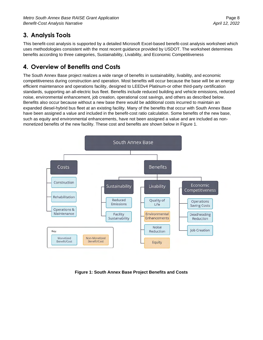## <span id="page-7-0"></span>**3. Analysis Tools**

This benefit-cost analysis is supported by a detailed Microsoft Excel-based benefit-cost analysis worksheet which uses methodologies consistent with the most recent guidance provided by USDOT. The worksheet determines benefits according to three categories, Sustainability, Livability, and Economic Competitiveness

## <span id="page-7-1"></span>**4. Overview of Benefits and Costs**

The South Annex Base project realizes a wide range of benefits in sustainability, livability, and economic competitiveness during construction and operation. Most benefits will occur because the base will be an energy efficient maintenance and operations facility, designed to LEEDv4 Platinum-or other third-party certification standards, supporting an all-electric bus fleet. Benefits include reduced building and vehicle emissions, reduced noise, environmental enhancement, job creation, operational cost savings, and others as described below. Benefits also occur because without a new base there would be additional costs incurred to maintain an expanded diesel-hybrid bus fleet at an existing facility. Many of the benefits that occur with South Annex Base have been assigned a value and included in the benefit-cost ratio calculation. Some benefits of the new base, such as equity and environmental enhancements, have not been assigned a value and are included as nonmonetized benefits of the new facility. These cost and benefits are shown below in Figure 1.



**Figure 1: South Annex Base Project Benefits and Costs**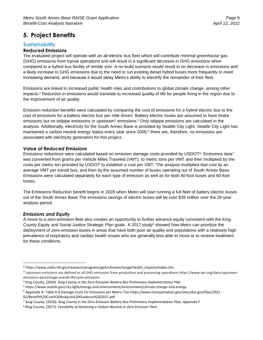## <span id="page-8-0"></span>**5. Project Benefits**

#### *Sustainability*

#### **Reduced Emissions**

The evaluated project will operate with an all-electric bus fleet which will contribute minimal greenhouse gas (GHG) emissions from transit operations and will result in a significant decrease in GHG emissions when compared to a hybrid bus facility of similar size. A no-build scenario would result in no decrease in emissions and a likely increase to GHG emissions due to the need to run existing diesel hybrid buses more frequently to meet increasing demand, and because it would delay Metro's ability to electrify the remainder of their fleet.

Emissions are linked to increased public health risks and contributions to global climate change, among other impacts.<sup>2</sup> Reduction in emissions would translate to increased quality of life for people living in the region due to the improvement of air quality.

Emission reduction benefits were calculated by comparing the cost of emissions for a hybrid electric bus to the cost of emissions for a battery electric bus per mile driven. Battery electric buses are assumed to have brake emissions but no tailpipe emissions or upstream<sup>3</sup> emissions.<sup>4</sup> Only tailpipe emissions are calculated in the analysis. Additionally, electricity for the South Annex Base is provided by Seattle City Light. Seattle City Light has maintained a carbon neutral energy status every year since 2005; 5 there are, therefore, no emissions are associated with electricity generation for this project.

#### *Value of Reduced Emissions*

Emissions reductions were calculated based on emission damage costs provided by USDOT<sup>6</sup>. Emissions data<sup>7</sup> was converted from grams per Vehicle Miles Traveled (VMT), to metric tons per VMT and then multiplied by the costs per metric ton provided by USDOT to establish a cost per VMT. The analysis multiplied that cost by an average VMT per transit bus, and then by the assumed number of buses operating out of South Annex Base. Emissions were calculated separately for each type of emission as well as for both 40-foot buses and 60-foot buses.

The Emissions Reduction benefit begins in 2028 when Metro will start running a full fleet of battery electric buses out of the South Annex Base The emissions savings of electric buses will be over \$35 million over the 20-year analysis period.

#### *Emissions and Equity*

A move to a zero-emission fleet also creates an opportunity to further advance equity consistent with the King County Equity and Social Justice Strategic Plan goals. A 2017 study<sup>8</sup> showed how Metro can prioritize the deployment of zero-emission buses in areas that have both poor air quality and populations with a relatively high prevalence of respiratory and cardiac health issues who are generally less able to move or to receive treatment for these conditions.

02/Benefit%20Cost%20Analysis%20Guidance%202021.pdf

<sup>2</sup> https://www.niehs.nih.gov/research/programs/geh/climatechange/health\_impacts/index.cfm

<sup>&</sup>lt;sup>3</sup> Upstream emissions are defined as all GHG emissions from production and processing operations https://www.wri.org/data/upstreamemissions-percentage-overall-lifecycle-emissions

<sup>4</sup> King County, (2020). *King County in the Zero-Emission Battery Bus Preliminary Implementation Plan*

<sup>5</sup> https://www.seattle.gov/city-light/energy-and-environment/environment/climate-change-and-energy

<sup>6</sup> Appendix A: Table A-6 Damage Costs for Emissions per Metric Ton https://www.transportation.gov/sites/dot.gov/files/2021-

<sup>7</sup> King County, (2020). *King County in the Zero-Emission Battery Bus Preliminary Implementation Plan, Appendix F*

<sup>8</sup> King County, (2017). *Feasibility of Achieving a Carbon-Neutral or Zero Emission Fleet*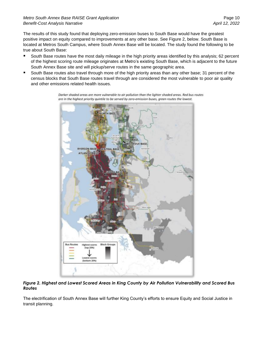#### *Metro South Annex Base RAISE Grant Application* Page 10 *Benefit-Cost Analysis Narrative April 12, 2022*

The results of this study found that deploying zero-emission buses to South Base would have the greatest positive impact on equity compared to improvements at any other base. See Figure 2, below. South Base is located at Metros South Campus, where South Annex Base will be located. The study found the following to be true about South Base:

- South Base routes have the most daily mileage in the high priority areas identified by this analysis; 62 percent of the highest scoring route mileage originates at Metro's existing South Base, which is adjacent to the future South Annex Base site and will pickup/serve routes in the same geographic area.
- South Base routes also travel through more of the high priority areas than any other base; 31 percent of the census blocks that South Base routes travel through are considered the most vulnerable to poor air quality and other emissions related health issues.

**BASE DEVUE BASE** RYERSON BASE CENTRAL BASE **ATLANTIC BASE Bus Rout Block Gr** lighest scores (top 20%) ittom 20

Darker shaded areas are more vulnerable to air pollution than the lighter shaded areas. Red bus routes are in the highest priority quintile to be served by zero-emission buses, green routes the lowest.

#### *Figure 2. Highest and Lowest Scored Areas in King County by Air Pollution Vulnerability and Scored Bus Routes*

The electrification of South Annex Base will further King County's efforts to ensure Equity and Social Justice in transit planning.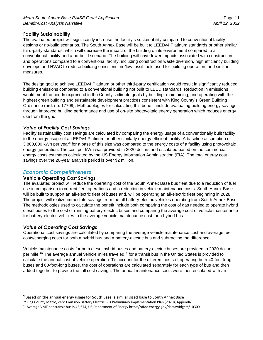#### **Facility Sustainability**

The evaluated project will significantly increase the facility's sustainability compared to conventional facility designs or no-build scenarios. The South Annex Base will be built to LEEDv4 Platinum standards or other similar third-party standards, which will decrease the impact of the building on its environment compared to a conventional facility and a no-build scenario. The building will have fewer impacts associated with construction and operations compared to a conventional facility, including construction waste diversion, high efficiency building envelope and HVAC to reduce building emissions, no/low fossil fuels used for building operation, and similar measures.

The design goal to achieve LEEDv4 Platinum or other third-party certification would result in significantly reduced building emissions compared to a conventional building not built to LEED standards. Reduction in emissions would meet the needs expressed in the County's climate goals by building, maintaining, and operating with the highest green building and sustainable development practices consistent with King County's Green Building Ordinance (ord. no. 17709). Methodologies for calculating this benefit include evaluating building energy savings through improved building performance and use of on-site photovoltaic energy generation which reduces energy use from the grid.

#### *Value of Facility Cost Savings*

Facility sustainability cost savings are calculated by comparing the energy usage of a conventionally built facility to the energy usage of a LEEDv4 Platinum or other similarly energy efficient facility. A baseline assumption of 3,800,000 kWh per year<sup>9</sup> for a base of this size was compared to the energy costs of a facility using photovoltaic energy generation. The cost per kWh was provided in 2020 dollars and escalated based on the commercial energy costs estimates calculated by the US Energy Information Administration (EIA). The total energy cost savings over the 20-year analysis period is over \$2 million.

#### *Economic Competitiveness*

#### **Vehicle Operating Cost Savings**

The evaluated project will reduce the operating cost of the South Annex Base bus fleet due to a reduction of fuel use in comparison to current fleet operations and a reduction in vehicle maintenance costs. South Annex Base will be built to support an all-electric fleet of buses and, will be operating an all-electric fleet beginning in 2028. The project will realize immediate savings from the all battery-electric vehicles operating from South Annex Base. The methodologies used to calculate the benefit include both comparing the cost of gas needed to operate hybrid diesel buses to the cost of running battery-electric buses and comparing the average cost of vehicle maintenance for battery-electric vehicles to the average vehicle maintenance cost for a hybrid bus.

#### *Value of Operating Cost Savings*

Operational cost savings are calculated by comparing the average vehicle maintenance cost and average fuel costs/charging costs for both a hybrid bus and a battery-electric bus and subtracting the difference.

Vehicle maintenance costs for both diesel hybrid buses and battery-electric buses are provided in 2020 dollars per mile.<sup>10</sup> The average annual vehicle miles traveled<sup>11</sup> for a transit bus in the United States is provided to calculate the annual cost of vehicle operation. To account for the different costs of operating both 40-foot-long buses and 60-foot-long buses, the cost of operations are calculated separately for each type of bus and then added together to provide the full cost savings. The annual maintenance costs were then escalated with an

<sup>9</sup> Based on the annual energy usage for South Base, a similar sized base to South Annex Base

<sup>10</sup> King County Metro, Zero Emission Battery Electric Bus Preliminary Implementation Plan (2020), Appendix F

<sup>11</sup> Average VMT per transit bus is 43,674, US Department of Energy https://afdc.energy.gov/data/widgets/10309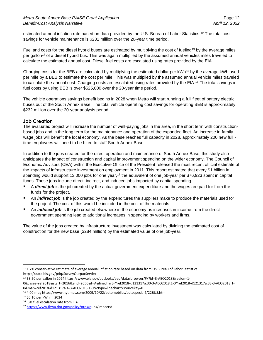estimated annual inflation rate based on data provided by the U.S. Bureau of Labor Statistics.<sup>12</sup> The total cost savings for vehicle maintenance is \$231 million over the 20-year time period.

Fuel and costs for the diesel hybrid buses are estimated by multiplying the cost of fueling<sup>13</sup> by the average miles per gallon<sup>14</sup> of a diesel hybrid bus. This was again multiplied by the assumed annual vehicles miles traveled to calculate the estimated annual cost. Diesel fuel costs are escalated using rates provided by the EIA.

Charging costs for the BEB are calculated by multiplying the estimated dollar per kWh<sup>15</sup> by the average kWh used per mile by a BEB to estimate the cost per mile. This was multiplied by the assumed annual vehicle miles traveled to calculate the annual cost. Charging costs are escalated using rates provided by the EIA.<sup>16</sup> The total savings in fuel costs by using BEB is over \$525,000 over the 20-year time period.

The vehicle operations savings benefit begins in 2028 when Metro will start running a full fleet of battery electric buses out of the South Annex Base. The total vehicle operating cost savings for operating BEB is approximately \$232 million over the 20-year analysis period

#### **Job Creation**

The evaluated project will increase the number of well-paying jobs in the area, in the short term with constructionbased jobs and in the long term for the maintenance and operation of the expanded fleet. An increase in familywage jobs will benefit the local economy. As the base reaches full capacity in 2028, approximately 200 new full time employees will need to be hired to staff South Annex Base.

In addition to the jobs created for the direct operation and maintenance of South Annex Base, this study also anticipates the impact of construction and capital improvement spending on the wider economy. The Council of Economic Advisors (CEA) within the Executive Office of the President released the most recent official estimate of the impacts of infrastructure investment on employment in 2011. This report estimated that every \$1 billion in spending would support 13,000 jobs for one year, <sup>17</sup> the equivalent of one job-year per \$76,923 spent in capital funds. These jobs include direct, indirect, and induced jobs impacted by capital spending.

- A **direct job** is the job created by the actual government expenditure and the wages are paid for from the funds for the project.
- An *indirect job* is the job created by the expenditures the suppliers make to produce the materials used for the project. The cost of this would be included in the cost of the materials.
- **E** An *induced job* is the job created elsewhere in the economy as increases in income from the direct government spending lead to additional increases in spending by workers and firms.

The value of the jobs created by infrastructure investment was calculated by dividing the estimated cost of construction for the new base (\$284 million) by the estimated value of one job-year.

<sup>&</sup>lt;sup>12</sup> 1.7% conservative estimate of average annual inflation rate based on data from US Bureau of Labor Statistics https://data.bls.gov/pdq/SurveyOutputServlet

<sup>13 \$3.50</sup> per gallon in 2024 https://www.eia.gov/outlooks/aeo/data/browser/#/?id=3-AEO2018&region=1-

<sup>0&</sup>amp;cases=ref2018&start=2016&end=2050&f=A&linechart=~ref2018-d121317a.30-3-AEO2018.1-0~ref2018-d121317a.33-3-AEO2018.1- 0&map=ref2018-d121317a.4-3-AEO2018.1-0&ctype=linechart&sourcekey=0

<sup>14</sup> 4.00 mpg https://www.nytimes.com/2009/10/22/automobiles/autospecial2/22BUS.html

<sup>15</sup> \$0.10 per kWh in 2024

<sup>16</sup> .6% fuel escalation rate from EIA

<sup>17</sup> [https://www.fhwa.dot.gov/policy/otps/pu](https://www.fhwa.dot.gov/policy/otps/p)bs/impacts/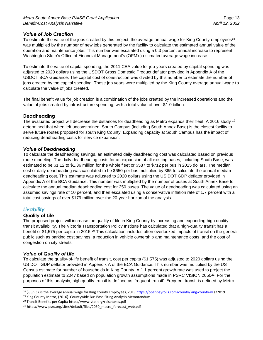#### *Value of Job Creation*

To estimate the value of the jobs created by this project, the average annual wage for King County employees<sup>18</sup> was multiplied by the number of new jobs generated by the facility to calculate the estimated annual value of the operation and maintenance jobs. This number was escalated using a 0.3 percent annual increase to represent Washington State's Office of Financial Management's (OFM's) estimated average wage increase.

To estimate the value of capital spending, the 2011 CEA value for job-years created by capital spending was adjusted to 2020 dollars using the USDOT Gross Domestic Product deflator provided in Appendix A of the USDOT BCA Guidance. The capital cost of construction was divided by this number to estimate the number of jobs created by the capital spending. These job years were multiplied by the King County average annual wage to calculate the value of jobs created.

The final benefit value for job creation is a combination of the jobs created by the increased operations and the value of jobs created by infrastructure spending, with a total value of over \$1.0 billion.

#### **Deadheading**

The evaluated project will decrease the distances for deadheading as Metro expands their fleet. A 2016 study <sup>19</sup> determined that when left unconstrained, South Campus (including South Annex Base) is the closest facility to serve future routes proposed for south King County. Expanding capacity at South Campus has the impact of reducing deadheading costs for service expansion.

#### *Value of Deadheading*

To calculate the deadheading savings, an estimated daily deadheading cost was calculated based on previous route modeling. The daily deadheading costs for an expansion of all existing bases, including South Base, was estimated to be \$1.12 to \$1.36 million for the whole fleet or \$587 to \$712 per bus in 2015 dollars. The median cost of daily deadheading was calculated to be \$650 per bus multiplied by 365 to calculate the annual median deadheading cost. This estimate was adjusted to 2020 dollars using the US DOT GDP deflator provided in Appendix A of the BCA Guidance. This number was multiplied by the number of buses at South Annex Base to calculate the annual median deadheading cost for 250 buses. The value of deadheading was calculated using an assumed savings rate of 10 percent, and then escalated using a conservative inflation rate of 1.7 percent with a total cost savings of over \$179 million over the 20-year horizon of the analysis.

#### *Livability*

#### **Quality of Life**

The proposed project will increase the quality of life in King County by increasing and expanding high quality transit availability. The Victoria Transportation Policy Institute has calculated that a high-quality transit has a benefit of \$1,575 per capita in 2015.<sup>20</sup> This calculation includes often overlooked impacts of transit on the general public such as parking cost savings, a reduction in vehicle ownership and maintenance costs, and the cost of congestion on city streets.

#### *Value of Quality of Life*

To calculate the quality-of-life benefit of transit, cost per capita (\$1,575) was adjusted to 2020 dollars using the US DOT GDP deflator provided in Appendix A of the BCA Guidance. This number was multiplied by the US Census estimate for number of households in King County. A 1.1 percent growth rate was used to project the population estimate to 2047 based on population growth assumptions made in PSRC VISION 2050<sup>21</sup>. For the purposes of this analysis, high quality transit is defined as 'frequent transit'. Frequent transit is defined by Metro

<sup>18</sup> \$83,932 is the average annual wage for King County Employees, 2019<https://openpayrolls.com/county/king-county-w> a/2019

<sup>&</sup>lt;sup>19</sup> King County Metro, (2016). Countywide Bus Base Siting Analysis Memorandum

<sup>20</sup> Transit Benefits per Capita https://www.vtpi.org/raisetaxes.pdf

<sup>21</sup> https://www.psrc.org/sites/default/files/2050\_macro\_forecast\_web.pdf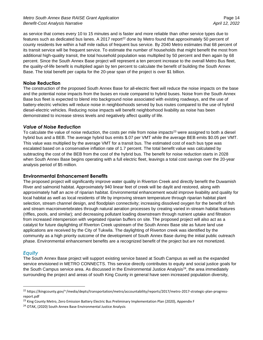as service that comes every 10 to 15 minutes and is faster and more reliable than other service types due to features such as dedicated bus lanes. A 2017 report<sup>22</sup> done by Metro found that approximately 50 percent of county residents live within a half mile radius of frequent bus service. By 2040 Metro estimates that 68 percent of its transit service will be frequent service. To estimate the number of households that might benefit the most from additional high-quality transit, the total household population was multiplied by 50 percent and then again by 68 percent. Since the South Annex Base project will represent a ten percent increase to the overall Metro Bus fleet, the quality-of-life benefit is multiplied again by ten percent to calculate the benefit of building the South Annex Base. The total benefit per capita for the 20-year span of the project is over \$1 billion.

#### **Noise Reduction**

The construction of the proposed South Annex Base for all-electric fleet will reduce the noise impacts on the base and the potential noise impacts from the buses en route compared to hybrid buses. Noise from the South Annex Base bus fleet is expected to blend into background noise associated with existing roadways, and the use of battery-electric vehicles will reduce noise in neighborhoods served by bus routes compared to the use of hybrid diesel-electric vehicles. Reducing noise impacts will benefit neighborhood livability as noise has been demonstrated to increase stress levels and negatively affect quality of life.

#### *Value of Noise Reduction*

To calculate the value of noise reduction, the costs per mile from noise impacts<sup>23</sup> were assigned to both a diesel hybrid bus and a BEB. The average hybrid bus emits \$.07 per VMT while the average BEB emits \$0.05 per VMT. This value was multiplied by the average VMT for a transit bus. The estimated cost of each bus type was escalated based on a conservative inflation rate of 1.7 percent. The total benefit value was calculated by subtracting the cost of the BEB from the cost of the hybrid bus. The benefit for noise reduction starts in 2028 when South Annex Base begins operating with a full electric fleet, leavings a total cost savings over the 20-year analysis period of \$5 million.

#### **Environmental Enhancement Benefits**

The proposed project will significantly improve water quality in Riverton Creek and directly benefit the Duwamish River and salmonid habitat. Approximately 940 linear feet of creek will be daylit and restored, along with approximately half an acre of riparian habitat. Environmental enhancement would improve livability and quality for local habitat as well as local residents of life by improving stream temperature through riparian habitat plant selection, stream channel design, and floodplain connectivity; increasing dissolved oxygen for the benefit of fish and stream macroinvertebrates through natural aeration processes by creating varied in-stream habitat features (riffles, pools, and similar); and decreasing pollutant loading downstream through nutrient uptake and filtration from increased interspersion with vegetated riparian buffers on site. The proposed project will also act as a catalyst for future daylighting of Riverton Creek upstream of the South Annex Base site as future land use applications are received by the City of Tukwila. The daylighting of Riverton creek was identified by the community as a high priority outcome of the development of South Annex Base during the initial public outreach phase. Environmental enhancement benefits are a recognized benefit of the project but are not monetized.

#### *Equity*

The South Annex Base project will support existing service based at South Campus as well as the expanded service envisioned in METRO CONNECTS. This service directly contributes to equity and social justice goals for the South Campus service area. As discussed in the Environmental Justice Analysis<sup>24</sup>, the area immediately surrounding the project and areas of south King County in general have seen increased population diversity,

<sup>22</sup> https://kingcounty.gov/~/media/depts/transportation/metro/accountability/reports/2017/metro-2017-strategic-plan-progressreport.pdf

<sup>&</sup>lt;sup>23</sup> King County Metro, Zero Emission Battery Electric Bus Preliminary Implementation Plan (2020), Appendix F

<sup>&</sup>lt;sup>24</sup> OTAK, (2020) South Annex Base Environmental Justice Analysis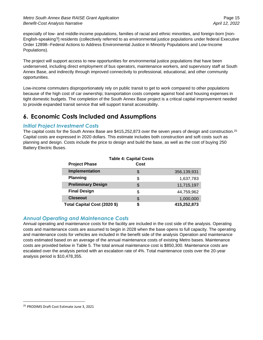especially of low- and middle-income populations, families of racial and ethnic minorities, and foreign-born [non-English-speaking?] residents (collectively referred to as environmental justice populations under federal Executive Order 12898--Federal Actions to Address Environmental Justice in Minority Populations and Low-Income Populations).

The project will support access to new opportunities for environmental justice populations that have been underserved, including direct employment of bus operators, maintenance workers, and supervisory staff at South Annex Base, and indirectly through improved connectivity to professional, educational, and other community opportunities.

Low-income commuters disproportionately rely on public transit to get to work compared to other populations because of the high cost of car ownership; transportation costs compete against food and housing expenses in tight domestic budgets. The completion of the South Annex Base project is a critical capital improvement needed to provide expanded transit service that will support transit accessibility.

## <span id="page-14-0"></span>**6. Economic Costs Included and Assumptions**

#### *Initial Project Investment Costs*

The capital costs for the South Annex Base are  $$415,252,873$  over the seven years of design and construction.<sup>25</sup> Capital costs are expressed in 2020 dollars. This estimate includes both construction and soft costs such as planning and design. Costs include the price to design and build the base, as well as the cost of buying 250 Battery Electric Buses.

| <b>Table 4: Capital Costs</b> |      |             |  |  |
|-------------------------------|------|-------------|--|--|
| <b>Project Phase</b>          | Cost |             |  |  |
| Implementation                | \$   | 356,139,931 |  |  |
| <b>Planning</b>               | \$   | 1,637,783   |  |  |
| <b>Preliminary Design</b>     | \$   | 11,715,197  |  |  |
| <b>Final Design</b>           | \$   | 44,759,962  |  |  |
| <b>Closeout</b>               | \$   | 1,000,000   |  |  |
| Total Capital Cost (2020 \$)  | S    | 415,252,873 |  |  |

#### *Annual Operating and Maintenance Costs*

Annual operating and maintenance costs for the facility are included in the cost side of the analysis. Operating costs and maintenance costs are assumed to begin in 2028 when the base opens to full capacity. The operating and maintenance costs for vehicles are included in the benefit side of the analysis Operation and maintenance costs estimated based on an average of the annual maintenance costs of existing Metro bases. Maintenance costs are provided below in Table 5. The total annual maintenance cost is \$850,300. Maintenance costs are escalated over the analysis period with an escalation rate of 4%. Total maintenance costs over the 20-year analysis period is \$10,478,355.

<sup>25</sup> PRODIMS Draft Cost Estimate June 3, 2021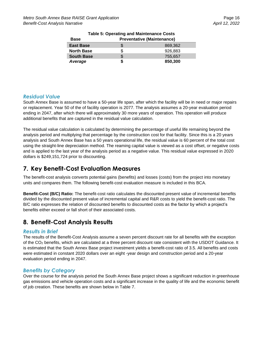| Base              | <b>Preventative (Maintenance)</b> |         |  |
|-------------------|-----------------------------------|---------|--|
| <b>East Base</b>  |                                   | 869.362 |  |
| <b>North Base</b> |                                   | 926,883 |  |
| <b>South Base</b> | \$                                | 755.657 |  |
| Average           | S                                 | 850,300 |  |

## **Table 5: Operating and Maintenance Costs**

#### *Residual Value*

South Annex Base is assumed to have a 50-year life span, after which the facility will be in need or major repairs or replacement. Year 50 of the of facility operation is 2077. The analysis assumes a 20-year evaluation period ending in 2047, after which there will approximately 30 more years of operation. This operation will produce additional benefits that are captured in the residual value calculation.

The residual value calculation is calculated by determining the percentage of useful life remaining beyond the analysis period and multiplying that percentage by the construction cost for that facility. Since this is a 20 years analysis and South Annex Base has a 50 years operational life, the residual value is 60 percent of the total cost using the straight-line depreciation method. The reaming capital value is viewed as a cost offset, or negative costs and is applied to the last year of the analysis period as a negative value. This residual value expressed in 2020 dollars is \$249,151,724 prior to discounting.

### <span id="page-15-0"></span>**7. Key Benefit-Cost Evaluation Measures**

The benefit-cost analysis converts potential gains (benefits) and losses (costs) from the project into monetary units and compares them. The following benefit-cost evaluation measure is included in this BCA.

**Benefit-Cost (B/C) Ratio:** The benefit-cost ratio calculates the discounted present value of incremental benefits divided by the discounted present value of incremental capital and R&R costs to yield the benefit-cost ratio. The B/C ratio expresses the relation of discounted benefits to discounted costs as the factor by which a project's benefits either exceed or fall short of their associated costs.

## <span id="page-15-1"></span>**8. Benefit-Cost Analysis Results**

#### *Results in Brief*

The results of the Benefit-Cost Analysis assume a seven percent discount rate for all benefits with the exception of the CO<sup>2</sup> benefits, which are calculated at a three percent discount rate consistent with the USDOT Guidance. It is estimated that the South Annex Base project investment yields a benefit-cost ratio of 3.5. All benefits and costs were estimated in constant 2020 dollars over an eight -year design and construction period and a 20-year evaluation period ending in 2047.

#### *Benefits by Category*

Over the course for the analysis period the South Annex Base project shows a significant reduction in greenhouse gas emissions and vehicle operation costs and a significant increase in the quality of life and the economic benefit of job creation. These benefits are shown below in Table 7.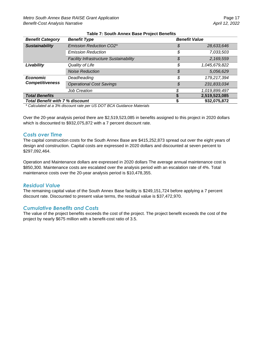| <b>Benefit Category</b>                | <b>Benefit Type</b>                           | <b>Benefit Value</b> |               |
|----------------------------------------|-----------------------------------------------|----------------------|---------------|
| <b>Sustainability</b>                  | <b>Emission Reduction CO2*</b>                | \$                   | 28,633,646    |
|                                        | <b>Emission Reduction</b>                     | \$                   | 7,033,503     |
|                                        | <b>Facility Infrastructure Sustainability</b> | \$                   | 2,169,559     |
| Livability                             | Quality of Life                               | \$                   | 1,045,679,822 |
|                                        | <b>Noise Reduction</b>                        | \$                   | 5,056,629     |
| <b>Economic</b>                        | Deadheading                                   | \$                   | 179,217,394   |
| <b>Competitiveness</b>                 | <b>Operational Cost Savings</b>               | \$                   | 231,833,034   |
|                                        | <b>Job Creation</b>                           |                      | 1,019,899,497 |
| <b>Total Benefits</b>                  |                                               |                      | 2,519,523,085 |
| <b>Total Benefit with 7 % discount</b> |                                               |                      | 932,075,872   |

#### **Table 7: South Annex Base Project Benefits**

*\* Calculated at a 3% discount rate per US DOT BCA Guidance Materials*

Over the 20-year analysis period there are \$2,519,523,085 in benefits assigned to this project in 2020 dollars which is discounted to \$932,075,872 with a 7 percent discount rate.

#### *Costs over Time*

The capital construction costs for the South Annex Base are \$415,252,873 spread out over the eight years of design and construction. Capital costs are expressed in 2020 dollars and discounted at seven percent to \$297,092,464.

Operation and Maintenance dollars are expressed in 2020 dollars The average annual maintenance cost is \$850,300. Maintenance costs are escalated over the analysis period with an escalation rate of 4%. Total maintenance costs over the 20-year analysis period is \$10,478,355.

#### *Residual Value*

The remaining capital value of the South Annex Base facility is \$249,151,724 before applying a 7 percent discount rate. Discounted to present value terms, the residual value is \$37,472,970.

#### *Cumulative Benefits and Costs*

The value of the project benefits exceeds the cost of the project. The project benefit exceeds the cost of the project by nearly \$675 million with a benefit-cost ratio of 3.5.